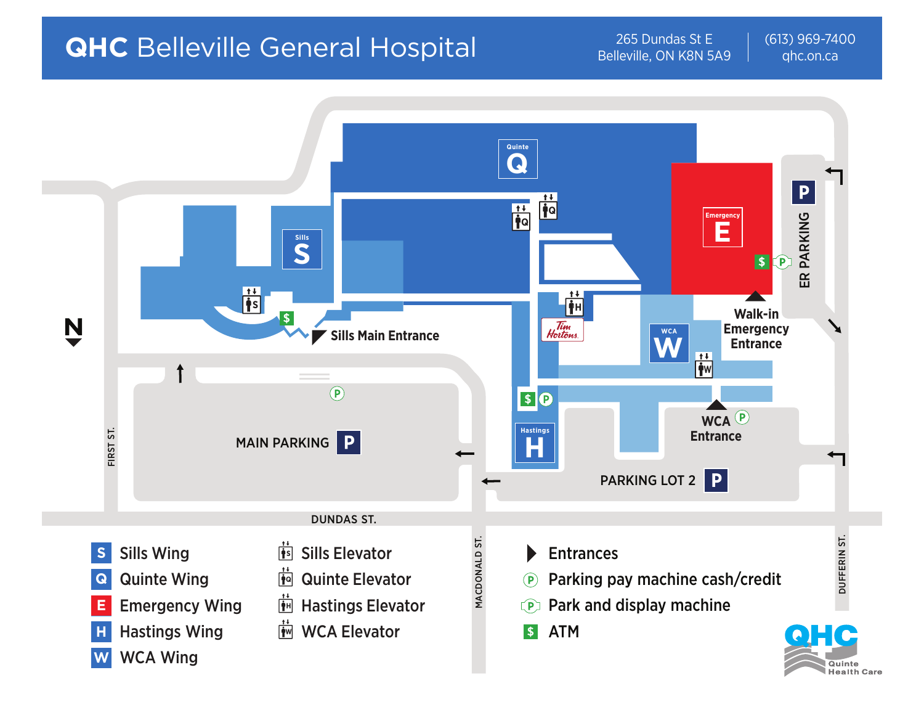# **QHC** Belleville General Hospital 265 Dundas St E

Belleville, ON K8N 5A9